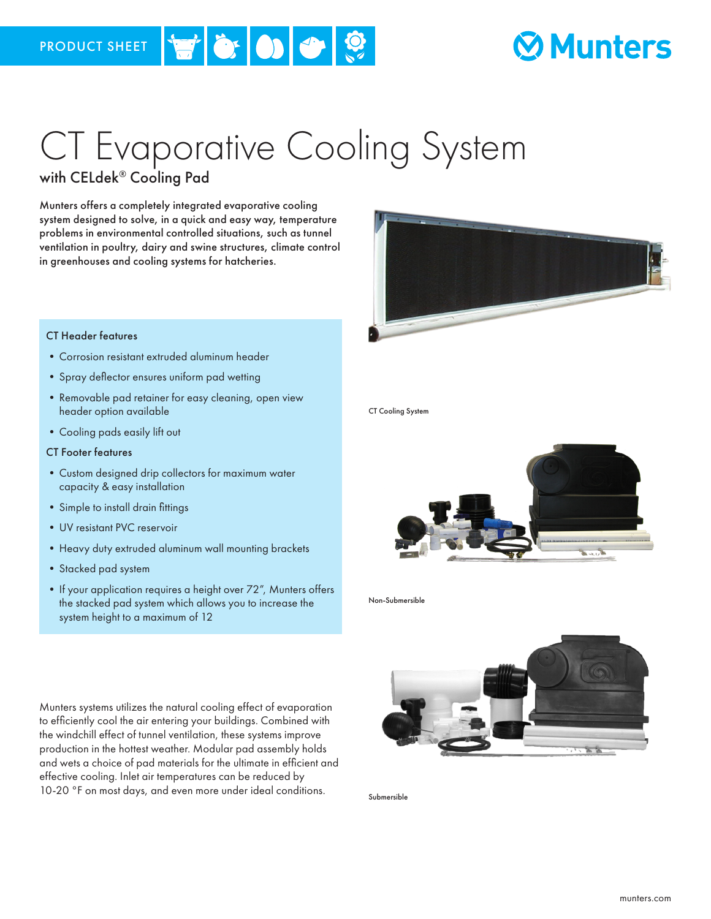## **Munters**

# CT Evaporative Cooling System

### with CELdek® Cooling Pad

Munters offers a completely integrated evaporative cooling system designed to solve, in a quick and easy way, temperature problems in environmental controlled situations, such as tunnel ventilation in poultry, dairy and swine structures, climate control in greenhouses and cooling systems for hatcheries.

### CT Header features

- •Corrosion resistant extruded aluminum header
- •Spray deflector ensures uniform pad wetting
- •Removable pad retainer for easy cleaning, open view header option available
- •Cooling pads easily lift out

#### CT Footer features

- •Custom designed drip collectors for maximum water capacity & easy installation
- •Simple to install drain fittings
- •UV resistant PVC reservoir
- •Heavy duty extruded aluminum wall mounting brackets
- •Stacked pad system
- If your application requires a height over 72", Munters offers the stacked pad system which allows you to increase the system height to a maximum of 12

Munters systems utilizes the natural cooling effect of evaporation to efficiently cool the air entering your buildings. Combined with the windchill effect of tunnel ventilation, these systems improve production in the hottest weather. Modular pad assembly holds and wets a choice of pad materials for the ultimate in efficient and effective cooling. Inlet air temperatures can be reduced by 10-20 °F on most days, and even more under ideal conditions.



CT Cooling System



Non-Submersible



Submersible